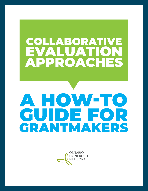## ABORA evaluation approaches

# a how-to guide for grantmakers

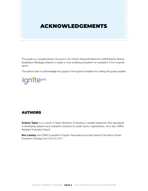## acknowledgements

. . . . . . .

This guide is a complementary resource to the Ontario Nonprofit Network's (ONN) [Sector Driven](http://theonn.ca/our-work/our-structures/evaluation/)  [Evaluation Strategy](http://theonn.ca/our-work/our-structures/evaluation/) initiative to create a more enabling ecosystem for evaluation in the nonprofit sector.

The authors wish to acknowledge the support of the Ignite Foundation for making this guide possible.



## **AUTHORS**

Andrew Taylor is co-owner of Taylor Newberry Consulting, a Guelph-based firm that specializes in developing research and evaluation solutions for public sector organizations. He is also ONN's Resident Evaluation Expert.

Ben Liadsky was ONN's Evaluation Program Associate and project lead for the Sector Driven Evaluation Strategy from 2015 to 2017.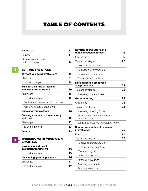## table of contents

| <i><u><b>Introduction</b></u></i>            |  |
|----------------------------------------------|--|
| Purpose                                      |  |
| Different approaches to<br>evaluation design |  |

#### SETTING THE STAGE

1

2

| Why are you doing evaluation?                                     |    |
|-------------------------------------------------------------------|----|
| Challenges                                                        | 9  |
| Tips and strategies                                               | 9  |
| <b>Building a culture of learning</b><br>within your organization | 10 |
| Challenges                                                        | 11 |
| Tips and strategies                                               | 11 |
| Look at your communication process                                |    |
| Identify evaluation champions                                     |    |
| <b>Checking your skillsets</b>                                    | 12 |
| <b>Building a culture of transparency</b><br>and trust            | 12 |
| Challenges                                                        | 12 |
| Tips and strategies                                               | 13 |
| <b>Summary</b>                                                    | 13 |

## Working with your own **GRANTEES** Developing high-level

| evaluation frameworks                |    |
|--------------------------------------|----|
| Tips and strategies                  | 15 |
| <b>Developing grant applications</b> | 16 |
| Challenges                           | 17 |
| Tips and strategies                  | 17 |
|                                      |    |

| Developing indicators and<br>data collection methods | 19 |
|------------------------------------------------------|----|
| Challenges                                           | 19 |
| Tips and strategies                                  | 20 |
| Developing indicators                                |    |
| Population-level indicators                          |    |
| Program-level indicators                             |    |
| Data collection methods                              |    |
| <b>Data collection processes</b><br>and procedures   | 22 |
| Tips and strategies                                  | 22 |
| Improving communication                              |    |
| <b>Grant reporting</b>                               | 22 |
| Challenges                                           | 22 |
| Tips and strategies                                  | 23 |
| Improving reporting forms                            |    |
| Making better use of data from<br>reporting forms    |    |
| Creative alternatives to reporting forms             |    |
| Supporting grantees to engage<br>in evaluation       | 25 |
| Challenges                                           | 25 |
| Tips and strategies                                  | 26 |
| Resources and templates                              |    |
| Workshops and coaching                               |    |
| Financial support                                    |    |
| Active participation                                 |    |
| Streamlining reports                                 |    |
| Teaching by example                                  |    |
| Providing feedback                                   |    |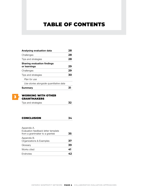## table of contents

| Analysing evaluation data                          | 28 |
|----------------------------------------------------|----|
| Challenges                                         | 28 |
| Tips and strategies                                | 28 |
| <b>Sharing evaluation findings</b><br>or learnings | 29 |
| Challenges                                         | 29 |
| Tips and strategies                                | 30 |
| Plan for use                                       |    |
| Use stories alongside quantitative data            |    |
| Summary                                            |    |
|                                                    |    |



#### WORKING WITH OTHER grantmakers

| Tips and strategies |  |
|---------------------|--|
|---------------------|--|

#### Conclusion **34**

| Appendix A.<br>Evaluation feedback letter template |    |  |  |
|----------------------------------------------------|----|--|--|
| from a grantmaker to a grantee                     | 35 |  |  |
| Appendix B.<br>Organizations & Examples            | 37 |  |  |
| Glossary                                           | 39 |  |  |
| Works cited                                        | 41 |  |  |
| Endnotes                                           |    |  |  |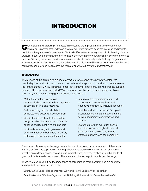## **INTRODUCTION**

Grantmakers are increasingly interested in measuring the impact of their investments through evaluation. Grantees that undertake a formal evaluation process generate learnings and insights that inform the grantmaker's investment of its funds. Evaluation is the key that unlocks learning about a project's impact on the community. It tells stakeholders whether the grantmaker is moving the bar on its mission. Critical governance questions are answered about how wisely and effectively the grantmaker is investing its funds. And for those grantmakers tackling big societal issues, evaluation unbundles their complexity and provides insights into the interventions that will have the greatest impact.

#### Purpose

The purpose of this guide is to provide grantmakers who support the nonprofit sector with practical guidance about how to take a more collaborative approach to evaluation. When we use the term grantmaker, we are referring to non-governmental funders that provide financial support to nonprofit groups including United Ways, corporate, public, and private foundations. More specifically, this guide will help grantmaker staff and board to:

- Make the case for why working collaboratively on evaluation is an important investment of time and resources
- Build a learning culture, which is a cornerstone to successful collaboration
- Identify the intent of evaluations so that design is driven by a clear purpose and to enhance engagement with stakeholders
- Work collaboratively with grantees and other community stakeholders to identify metrics and measurements that matter
- Create grantee reporting systems and processes that are streamlined and responsive and generate useful information
- Build the evaluation capacity of nonprofit organizations to generate better data and learning and improve performance and impacts
- Share the results of evaluation so that it provides valuable insights to internal grantmaker stakeholders as well as grantees, partners, and the community

Grantmakers face unique challenges when it comes to evaluation because much of their work involves building the capacity of other organizations to make a difference. Grantmakers want to invest in an evidence-based, strategic, and impactful way, but they rely heavily on the efforts of grant recipients in order to succeed. There are a number of ways to handle this challenge.

These two resources outline the importance of collaboration more generally and are additional sources for tips, ideas, and examples.

- • GrantCraft's [Funder Collaboratives: Why and How Funders Work Together](http://www.grantcraft.org/assets/content/resources/funder_collaboratives_secure.pdf)
- • Grantmakers for Effective Organization's [Building Collaboration: From the Inside Out](https://www.geofunders.org/resources/building-collaboration-from-the-inside-out-706)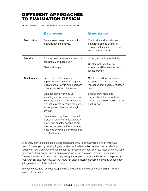## Different approaches to evaluation design

Table 1. Top-down vs. bottom-up approaches to evaluation design

|                    | <b>O TOP DOWN</b>                                                                                                                                                                                                  | ⊕<br><b>BOTTOM UP</b>                                                                                                      |
|--------------------|--------------------------------------------------------------------------------------------------------------------------------------------------------------------------------------------------------------------|----------------------------------------------------------------------------------------------------------------------------|
| <b>Description</b> | Grantmakers design the evaluation<br>methodology themselves.                                                                                                                                                       | Grantmakers allow individual<br>grant recipients to design an<br>evaluation that makes the most<br>sense in their context. |
| <b>Benefits</b>    | Ensures that outcomes are measured<br>consistently and rigorously.<br>Clear and simple.                                                                                                                            | Gives grant recipients flexibility.<br>Greater likelihood that an<br>evaluation will be seen as useful<br>for the grantee. |
| <b>Challenges</b>  | Can be difficult to design an<br>approach that works well for grant<br>recipients that vary in size, approach,<br>cultural context, or other factors.                                                              | Can be difficult for grantmakers<br>to synthesize any overarching<br>messages from diverse evaluation<br>reports.          |
|                    | Grant recipients may end up<br>spending a lot of resources in order<br>to satisfy grantmaker requirements,<br>but that may not translate into useful<br>learning about their own strategic<br>priorities.          | Smaller grant recipients<br>may not have the capacity to<br>develop a good evaluation design<br>on their own.              |
|                    | Grantmakers may have to deal with<br>evaluation data that varies greatly in<br>quality and quantity depending on<br>whether the grant recipient has the<br>resources or views the evaluation as<br>useful to them. |                                                                                                                            |

Of course, many grantmakers develop approaches that lie somewhere between these two poles, for example, by creating high-level standardized evaluation frameworks but allowing flexibility in how these frameworks are applied in specific settings. Even so, most of the evaluation approaches traditionally used by grantmakers in Ontario share one limitation in common: They have tended to focus on ensuring that grant recipients carry out the technical aspects of measurement and reporting, but they have not placed much emphasis on ongoing engagement with grantees about the evaluation process.

In other words, they have not sought to build collaborative evaluation relationships. This is an important distinction.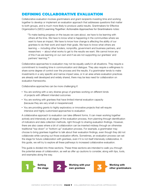## Defining collaborative evaluation

Collaborative evaluation involves grantmakers and grant recipients investing time and working together to develop or implement an evaluation approach that addresses questions that matter to both groups, and is much more likely to produce useful results. Grantmakers for Effective Organization's (GEO) [Learning Together: Actionable Approaches for Grantmakers](https://www.geofunders.org/resources/learning-together-actionable-approaches-for-grantmakers-682) notes:

"To make lasting progress on the issues we care about, we have to be learning with others all the time. We have to know what is happening in the communities where we want to have an impact. We have to know how change is affecting the ability of our grantees to do their work and reach their goals. We have to know what others are learning — including other funders, nonprofits, government and business partners, and researchers — about what works to get to the results we want. We cannot know any of this if we are learning on our own and if we are not supporting our grantees' and partners' learning."**<sup>1</sup>**

Collaborative approaches to evaluation may not be equally useful in all situations. They require a commitment to investing time in communication and dialogue. They also require a willingness to share some degree of control over the process and the results. If a grantmaker tends to make investments in a very specific and narrow impact area, or in an area where evaluation practices are already well developed and widely shared, there may be less need for collaboration on evaluation frameworks.

Collaborative approaches can be more challenging if:

- • You are working with a very diverse group of grantees working on different kinds of projects with different intended outcomes
- You are working with grantees that have limited internal evaluation capacity (because they are very small or inexperienced)
- You are providing grants to highly exploratory or innovative projects that will require intensive and highly customized approaches to evaluation

A collaborative approach to evaluation can take different forms. It can mean working together actively and intensively at all stages of the evaluation process, from planning through identification of indicators and data collection methods, right through to sharing evaluation findings. However, there are also cases where a bit of collaboration can be inserted midway through an otherwise traditional "top-down" or "bottom-up" evaluation process. For example, a grantmaker may choose to bring grantees together to talk about their evaluation findings, even though they did not collaborate while carrying out those evaluation efforts. Sometimes, an evaluation process can set the stage for future collaboration with grantees, even if it is not itself intensively collaborative. In this guide, we will try to explore all these pathways to increased collaborative evaluation.

This guide is divided into three sections. These three sections are intended to walk you through the potential areas of collaboration, as well as offer up cautions to consider, along with tips, tools, and examples along the way.

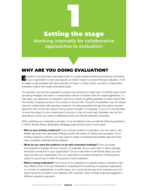# Setting the stage **Working internally for collaborative approaches to evaluation** 1

## Why are you doing evaluation?

Evaluation only becomes meaningful when it is used towards achieving something worthwhile. If your organization is clear and specific on what it hopes to achieve through evaluation, it will be easier to get grantees and other partners on board. In other words, success in collaborative evaluation begins with clearly articulated goals.

For example, your primary evaluation purpose may simply be to keep track of whether grant funds are being managed and used in a responsible manner, consistent with the original agreement. In that case, your approach to evaluation may focus mostly on getting grantees to track outputs like the number of people served or the number of events held. This kind of evaluation may not require intensive collaboration with grantees. However, the data generated through this output-focused approach may not be very useful if your purpose changes. For example, if you try to use this data to show the impact of your investments to donors, it may not work well. Grantees may not find attendance counts very useful in addressing their own internal evaluation purposes.

When clarifying your evaluation purposes, it can be helpful to ask yourself the following questions: *ONN's* Sector Driven Evaluation Strategy *explores this issue in more detail.*

- Who is your primary audience? If your primary audience is grantees, you may want a very flexible approach that generates findings quickly and draws on stories and examples. If your primary audience is donors, you may need to create a somewhat less flexible approach that uses consistent methods across projects.
- $\cdot$  What do you want the audience to do with evaluation findings? Once you share your evaluation findings with your donors, for example, do you want them to feel a stronger emotional connection to your organization? Do you want them to tell friends about you and help promote your organization? Do you want them to increase donations? Thinking about action is a good way to refine the purpose of your evaluation.
- What is being evaluated? If your focus is on evaluating one specific project, evaluation may look different than if you are interested in evaluating the functioning of a grantee organization or a cluster of organizations. In some cases, your core purpose may be to evaluate your own performance as a funder in your dealings with a grantee. Each of these purposes suggests a different evaluation approach.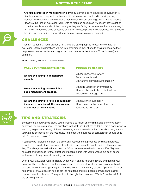• Are you interested in monitoring or learning? Sometimes, the purpose of evaluation is simply to monitor a project to make sure it is being managed well and is moving along as planned. Evaluation can be a way for a grantmaker to show due diligence in its use of funds. However, this kind of evaluation work, with its focus on accountability, doesn't leave a lot of room for people to talk about the challenges they are facing or the lessons they are learning. It isn't going to address deep questions or challenge assumptions. If your purpose is to provoke learning and new action, a very different type of evaluation may be needed.



#### **CHALLENGES**

If you aim at nothing, you'll probably hit it. That old saying applies to setting the stage for evaluation. Often, organizations will run into problems in their efforts to evaluate because their purpose was never made clear. Vague purpose statements like those in Table 2 (below) are common.

Table 2. Focusing evaluation purpose statements

| <b>VAGUE PURPOSE STATEMENTS</b>                                                                                    | <b>PROBES TO CLARIFY</b>                                                                               |
|--------------------------------------------------------------------------------------------------------------------|--------------------------------------------------------------------------------------------------------|
| We are evaluating to demonstrate<br>impact.                                                                        | Whose impact? On what?<br>For what audience?<br>Why are we demonstrating impact?                       |
| We are evaluating because it is a<br>good management practice.                                                     | What do you mean by evaluation?<br>How will this particular project help to<br>improve our management? |
| We are evaluating to fulfill a requirement<br>imposed by our board, the government,<br>or another external source. | What are their purposes?<br>How can evaluation strengthen our<br>relationship with them?               |



#### Tips and strategies

Sometimes, a good way to clarify your purpose is to reflect on the limitations of the evaluation approach you are using now. The questions in the left-hand column of Table 3 are a good place to start. If you get stuck on any of these questions, you may need to think more about why it is that you want to collaborate in the first place. Remember, the purpose of collaboration should be to help further your mission.**<sup>2</sup>**

It can also be helpful to consider the emotional reactions to a proposed evaluation purpose, as well as the intellectual ones. A great evaluation purpose gets people excited. They say things like, "I've always wanted to know that!" or "It's about time we talked about that!" or "My team has a lot of great ideas for that question!" If people agree with your purpose but don't seem enthusiastic, it may be worth working on it more.

Even if your evaluation work is already under way, it can be helpful to review and update your purpose. There is always room for improvement, so it's useful to take a look back from time to time and review how things are going. Naming this truth in the early stages of planning for your next cycle of evaluation can help to set the right tone and give people permission to call for course corrections later on. The questions in the right hand column of Table 3 can be helpful in the planning stages.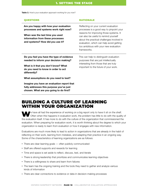#### 1. setting the stage

Table 3. How's your evaluation approach working for you now?

| <b>OUESTIONS</b>                                                                                                                                                                           | <b>RATIONALE</b>                                                                                                                                                                                                                                                                                                         |
|--------------------------------------------------------------------------------------------------------------------------------------------------------------------------------------------|--------------------------------------------------------------------------------------------------------------------------------------------------------------------------------------------------------------------------------------------------------------------------------------------------------------------------|
| Are you happy with how your evaluation<br>processes and systems work right now?<br>When was the last time you used<br>information from these processes<br>and systems? How did you use it? | Reflecting on your current evaluation<br>processes is a good way to pinpoint your<br>reasons for improving those systems. It<br>can also be useful to remind yourself<br>about the practical challenges involved in<br>evaluation, which can help avoid getting<br>too ambitious with your new evaluation<br>frameworks. |
| Do you feel you have the type of evidence<br>needed to inform your decision making?                                                                                                        | This can help to distinguish evaluation<br>purposes that are just intellectually                                                                                                                                                                                                                                         |
| What is it that you don't know? What<br>do you need to know in order to act<br>differently?                                                                                                | interesting from those that are truly<br>important to the future of your work.                                                                                                                                                                                                                                           |
| What assumptions do you need to test?                                                                                                                                                      |                                                                                                                                                                                                                                                                                                                          |
| Imagine you have an evaluation report that<br>fully addresses this purpose you've just<br>chosen. What are you going to do first?                                                          |                                                                                                                                                                                                                                                                                                                          |

## Building a culture of learning within your organization

We have all had the experience of working on a big report only to have it sit on the shelf.<br>Often when this happens in evaluation work, the problem has little to do with the quality of the evaluation itself. It has more to do with the culture of the organization that commissioned the evaluation. When preparing for evaluation work, it is worth thinking about the degree to which your organization is ready to learn from evaluation or how it engages with new information.

Evaluations are much more likely to lead to action in organizations that are already in the habit of reflecting on their work, learning from mistakes, and adapting their practice in an ongoing way. Some of the characteristics of learning organizations are as follows:

- There are clear learning goals often publicly communicated
- Staff are offered supports and rewards for learning
- Time and space is set aside to reflect, discuss, test, and iterate
- There is strong leadership that prioritizes and communicates learning objectives
- There is a willingness to share and learn from failures
- The team has the ongoing training and the tools they need to gather and analyze various kinds of information
- There are clear connections to evidence or data in decision-making processes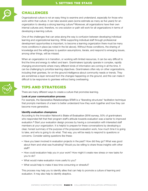

#### Challenges

Organizational culture is not an easy thing to examine and understand, especially for those who work within that culture. It can take several years (some estimate as many as five years) for an organization to develop a strong learning culture.**3** Moreover, all organizations have their own internal cultures and, therefore, no one solution or path will work for all organizations in terms of developing a learning culture.

One of the challenges that can arise along the way is confusion between developing individual learning and organizational learning. While supporting individual staff through professional development opportunities is important, to become a learning organization there must be many more conditions in place (as noted in the list above). Without those conditions, the sharing of knowledge and the willingness to question assumptions, iterate, and respond to emerging issues, among other things, will be missed.

When an organization is in transition, or working with limited resources, it can be very difficult to find the time and energy to reflect and learn. Grantmakers typically operate in complex, rapidly changing environments where many different kinds of information are coming in all the time. It can be challenging to prioritize learning objectives. Grantmakers often rely on other organizations, including their grantees, for on-the-ground intelligence about community needs or trends. They are sometimes a layer removed from the changes happening on the ground, and this can make it difficult to be responsive to grantees without being overbearing.



## Tips and strategies

There are many different ways to create a culture that promotes learning.

#### Look at your communication process

For example, the [Generative Relationships STAR](http://www.liberatingstructures.com/26-generative-relationships-st/) is a "liberating structures" facilitation technique that prompts members of a team to better understand how they work together and how they can become more generative.

#### Identify evaluation champions

According to the Innovation Network's [State of Evaluation 2016 survey](https://www.innonet.org/media/2016-State_of_Evaluation.pdf), 50% of grantmakers who responded felt that their program staff's attitude towards evaluation was a barrier to improved evaluation.**4** Start your evaluation design process by having a conversation with interested staff members at your organization. It is helpful to prepare for these conversations by developing a clear, honest summary of the purpose of the proposed evaluation work, how much time it is going to take, and who is going to do what. That way, you will be ready to respond to questions or concerns. Consider asking questions like these:

- Have you been involved in evaluation projects in the past? How did they go? What was good about them and what was frustrating? Would you be willing to share those insights with other staff?
- How could evaluation help you in your work? How might it create new stress or new tasks for you to do?
- What would make evaluation more useful to you?
- What would help to make it less time consuming or stressful?

This process may help you to identify allies that can help to promote a culture of learning and evaluation. It may also help to identify skeptics.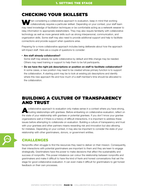## Checking your skillsets

When considering a collaborative approach to evaluation, keep in mind that working collaboratively requires a particular skillset. Depending on your context, your staff team may need knowledge of facilitation techniques or be comfortable acting as a [network weaver](http://www.networkweaver.com/product/network-weaving-handbook/) to relay information to appropriate stakeholders. They may also require familiarity with collaborative technology as well as more general skills such as strong interpersonal, communication, and organization skills. Some staff may also need to provide additional support and help to facilitate connections and provide support when questions arise.

Preparing for a more collaborative approach includes being deliberate about how the approach will impact staff. Here are a couple of questions to consider:

#### • Are staff already collaborative?

Some staff may already be quite collaborative by default and little change may be needed. Others may need training or support to help them to be full participants.

• Do we have the right job descriptions or position on staff to facilitate collaboration? In some cases, a new position may need to be created whose primary function is to support the collaboration. A starting point may be to look at existing job descriptions and identify where this new approach fits and how much of a staff member's time should be allocated to the collaboration.

## Building a culture of transparency and trust

collaborative approach to evaluation only makes sense in a context where you have strong, trusting relationships with grantees. Before embarking on collaborative evaluation, reflect on the state of your relationship with grantees or potential grantees. If you don't know your grantee organizations well or if there is a history of difficult interactions, it is important to address these issues before attempting to collaborate on evaluation. Building a culture of transparency and trust with your grantees and other partners means rewarding risk and innovation but also allowing for mistakes. Depending on your context, it may also be important to consider the state of your relationship with other grantmakers, donors, or government entities.



## Challenges

Nonprofits often struggle to find the resources they need to deliver on their mission. Consequently, their interactions with potential grantmakers are important to them and they are keen to engage strategically. Grantmakers have the power to make decisions that affect the sustainability and success of nonprofits. This power imbalance can colour the relationship between nonprofits and grantmakers and make it difficult to have the kind of frank and honest conversations that set the stage for good collaborative evaluation. It can even make it difficult for grantmakers to get honest feedback on their own processes.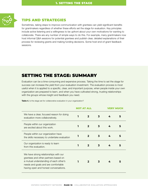

#### Tips and strategies

Sometimes, taking steps to improve communication with grantees can yield significant benefits for grantmakers regardless of whether these efforts set the stage for evaluation. Key principles include active listening and a willingness to be upfront about your own motivations for wanting to collaborate. There are any number of simple ways to do this. For example, many grantmakers now host informal Q&A sessions for potential grantees and publish clear, detailed explanations of their process for reviewing grants and making funding decisions. Some host end-of-grant feedback sessions.

## Setting the stage: Summary

Evaluation can be a time-consuming and expensive process. Taking the time to set the stage for success can increase the yield from your evaluation investment. The evaluation process is most useful when it is applied to a specific, clear, and important purpose, when people inside your own organization are prepared to learn, and when you have cultivated strong, trusting relationships with the groups whose insight and feedback you need.

Table 4. Is the stage set for collaborative evaluation in your organization?

|                                                                                                                                                                                                         | NOT AT AI I |              |   |   |   |
|---------------------------------------------------------------------------------------------------------------------------------------------------------------------------------------------------------|-------------|--------------|---|---|---|
| We have a clear, focused reason for doing<br>evaluation more collaboratively.                                                                                                                           |             | $\mathbf{2}$ | 3 | 4 | 5 |
| People within our organization<br>are excited about this work.                                                                                                                                          |             | 2            | 3 | 4 | 5 |
| People within our organization have<br>the skills necessary to undertake evaluation                                                                                                                     |             | 2            | 3 | 4 | 5 |
| Our organization is ready to learn<br>from this evaluation.                                                                                                                                             |             | 2            | 3 | 4 | 5 |
| We have strong relationships with our<br>grantees and other partners based on<br>a mutual understanding of each other's<br>needs and goals and are comfortable<br>having open and honest conversations. |             | $\mathbf{z}$ | 3 | 4 |   |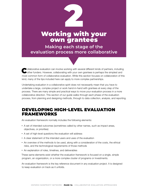# Working with your own grantees 2

**Making each stage of the evaluation process more collaborative**

Collaborative evaluation can involve working with several different kinds of partners, including other funders. However, collaborating with your own grantees is perhaps the simplest and most common form of collaborative evaluation. While this section focuses on collaboration of this kind, many of the tips included here can apply to more complex partnerships.

Undertaking evaluation in a collaborative spirit does not necessarily mean that you have to undertake a large, complex project or work hand-in-hand with grantees at every step of the process. There are many simple and practical ways to move your evaluation process in a more collaborative direction. This section of our guide walks through each phase of the evaluation process, from planning and designing methods, through to data collection, analysis, and reporting.

## Developing high-level evaluation frameworks

An evaluation framework normally includes the following elements:

- • A set of intended outcomes (sometimes called by other names, such as impact areas, objectives, or priorities)
- A set of high-level questions the evaluation will address
- A clear statement of the intended users and uses of the evaluation
- An overview of the methods to be used, along with a consideration of the costs, the ethical risks, and the technological requirements of those methods
- An explanation of roles, timelines, and deliverables

These same elements exist whether the evaluation framework is focused on a single, simple program, an organization, or a more complex cluster of programs or investments.

An evaluation framework is the key reference document in any evaluation project. It is designed to keep evaluation on track as it unfolds.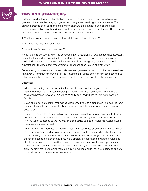

#### Tips and strategies

Collaborative development of evaluation frameworks can happen one-on-one with a single grantee or it can involve bringing together multiple grantees working on similar themes. The planning process often begins with the grantmaker and the grant recipients sharing their respective evaluation priorities with one another and looking for common interests. The following questions can be helpful in setting the agenda for a meeting like this:

- **1.** What are we really trying to learn? How will this learning lead to action?
- **2.** How can we help each other learn?
- **3.** What type of evaluation do we need?**<sup>5</sup>**

Remember that collaborating on the development of evaluation frameworks does not necessarily mean that the resulting evaluation framework will be loose and vague. These frameworks can include standardized data collection tools as well as very rigid agreements on reporting expectations. The key is that these frameworks are designed in a collaborative way.

Sometimes, grantmakers choose to collaborate with grantees on certain portions of an evaluation framework. They may, for example, fix their investment priorities before the meeting begins but collaborate on the development of measurement tools or other aspects of the framework.

Other tips:

- When collaborating on your evaluation framework, be upfront about your needs as a grantmaker. Begin the process by letting grantees know what you need to get out of the evaluation process, where you are willing to be flexible, and where you are not able to be flexible
- Establish a clear protocol for making final decisions. If you, as a grantmaker, are seeking input from grantees but plan to make the final decisions about the framework yourself, be clear about that
- It can be tempting to start out with a focus on measurement strategies because it feels very concrete and practical. Make sure to spend time talking through the intended users and key evaluation questions as well. Clarity on these issues can help to keep discussions about measurement more focused
- • When working with grantees to agree on a set of key outcomes or priorities, it can be helpful to start in very broad and general terms (e.g., we want youth to succeed in school) and then move gradually to more specific outcome statements in order to gauge how precise your outcomes need to be. Sometimes if you have different perspectives on what the outcomes should be, you can turn these differences into evaluation questions. For example, you may feel addressing systemic barriers is the best way to help youth succeed in school, while a grant recipient may be focusing more on building individual skills. You could agree to explore both pathways in your evaluation framework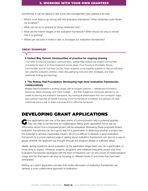Sometimes, it can be helpful to ask some risk-management type questions as well:

- What's most likely to go wrong with this evaluation framework? What obstacles could hinder our progress?
- What can we do to prepare for those obstacles now?
- What are the interim stages of this evaluation framework? When should we stop to review how it is working?
- Where can we build in times to test or prototype our evaluation frameworks?

#### great examples

#### United Way Oxford: Communities of practice for ongoing sharing

In an effort to improve evaluation communication, [United Way Oxford](http://unitedwayoxford.ca/) has created communities of practice for each of its three investment priority areas: From Poverty to Possibility; Strong Communities; and All That Kids Can Be. Grant recipients come together quarterly to discuss individual and collective evaluation priorities, share data-gathering tools and other strategies, and share preliminary findings and learnings.

#### The Rideau Hall Foundation: Developing high-level evaluation frameworks collaboratively

[Rideau Hall Foundation](https://www.rhf-frh.ca/) is working closely with its program partners — Mastercard Foundation, Vancouver Island University, and Yukon College — and their Indigenous community partners to cocreate its learning and evaluation framework. By involving all stakeholders from the conception stage, each partner's learning will benefit everyone. Once the framework is finalized, the partners will meet collectively twice a year to share outcomes and to refine the framework.

## Developing grant applications

They can help to set the tone for collaboration. Many grant application forms ask for They can help to set the tone for collaboration. Many grant application forms ask for information about how a proposed project will be evaluated. Reviewing these proposed project evaluation frameworks can be a good way for a grantmaker to determine whether a project has the potential to achieve measurable impact. Since it is difficult to develop a good evaluation framework for a poorly planned project, asking about evaluation frameworks can also be a way to gauge whether the applicant has thought through the program design in sufficient detail.

Ideally, asking questions about evaluation at the application stage helps you, as a grantmaker, to know what to expect. However, projects, programs, and initiatives frequently evolve over time. Evaluation frameworks developed with the best of intentions can run into a host of implementation snags and the final report can end up focusing on different kinds of outcomes than had been anticipated.

Setting up a grant application process that invites discussion of evaluation frameworks can develop a more collaborative approach to evaluation.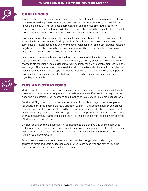

### **CHALLENGES**

The role of the grant application varies across grantmakers. Some larger grantmakers rely heavily on a standardized application form, since it ensures that the decision-making process will be transparent and fair. A well-designed application form can also save time during the review process, since there will be fewer applications that don't align well with the grantmaker's mandate and reviewers will be able to access the pertinent information quickly and easily.

However, an application form can also become long and complicated if it is the only source of information being used to make funding decisions. Questions about evaluation frameworks can sometimes be several pages long and involve complicated tables of objectives, planned indicators, targets, and data collection methods. They can become difficult for applicants to complete and they can be hard for reviewers to digest and understand.

Smaller grantmakers sometimes have the luxury of using a more interactive, conversation-driven approach to the application process. They may not rely so heavily on forms, and may have the chance to start forming a more collaborative working relationship with potential grantees from the early stages. This can leave room for more informal conversations about evaluation that give the grantmaker a sense of what the applicant hopes to learn and why those learnings are important. However, this approach can lead to challenges too. It can be seen as less transparent and objective, for example.



## Tips and strategies

Moving away from a form-driven approach to evaluation planning and towards a more interactive, conversational approach certainly sets a more collaborative tone. Even so, forms may have their place and it is possible to ask questions about evaluation in a more flexible, plain language way.

Consider shifting questions about evaluation frameworks to a later stage of the review process. For example, the initial application could ask general, high-level questions about evaluation but details about indicators and targets could be developed and submitted only by those applicants that have a strong chance of getting funding. It may even be possible to defer the development of an evaluation strategy to after granting decisions are made (see the next section on development of indicators for more information).

Consider scaling evaluation questions on applications to the type and size of grant. It may be better to use fewer, simpler, more open-ended questions for smaller grants or those that are more exploratory in nature. Larger, longer-term grant applications may ask for more details about a formal evaluation framework.

Table 5 lists some of the evaluation-related questions that are typically included in grant application forms and offers suggestions about when to use each type and how to keep the questions focused and manageable for applicants.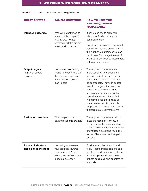Table 5. Questions about evaluation frameworks on application forms

| <b>QUESTION TYPE</b>                                       | <b>SAMPLE QUESTIONS</b>                                                                                                | <b>HOW TO KEEP THIS</b><br><b>KIND OF QUESTION</b><br><b>MANAGEABLE</b>                                                                                                                                                                                                                                                                                                                                                                                           |
|------------------------------------------------------------|------------------------------------------------------------------------------------------------------------------------|-------------------------------------------------------------------------------------------------------------------------------------------------------------------------------------------------------------------------------------------------------------------------------------------------------------------------------------------------------------------------------------------------------------------------------------------------------------------|
| <b>Intended outcomes</b>                                   | Who will be better off as<br>a result of this project?<br>In what way? What                                            | It can be helpful to ask about<br>who, specifically, the intended<br>beneficiaries are.                                                                                                                                                                                                                                                                                                                                                                           |
|                                                            | difference will this project<br>make, and for whom?                                                                    | Consider a menu of options to get<br>consistent, focused answers. Limit<br>the number of outcomes that can<br>be chosen. Encourage the use of<br>short-term, achievable, measurable<br>outcome statements.                                                                                                                                                                                                                                                        |
| <b>Output targets</b><br>$(e.g., \# of people)$<br>served) | How many people do you<br>intend to reach? Who will<br>those people be? How<br>many sessions do you<br>plan to hold?   | These types of questions are<br>more useful for very structured,<br>focused projects where there is<br>consensus on what targets would<br>be appropriate. They can be less<br>useful for projects that are more<br>open ended. They can come<br>across as micro-managing the<br>operational aspect of a project.<br>In order to keep these kinds of<br>question manageable, keep them<br>simple and high level. Make it clear<br>that targets are estimates only. |
| <b>Evaluation questions</b>                                | What do you hope to<br>learn through this project?                                                                     | These types of questions help to<br>place the focus on learning. In<br>order to keep them manageable,<br>provide guidance about what kinds<br>of evaluation questions you'd like<br>to see. Give examples. Use plain<br>language.                                                                                                                                                                                                                                 |
| <b>Planned indicators</b><br>and planned methods           | How will you measure<br>your progress towards<br>your outcomes? How<br>will you know if you have<br>made a difference? | Provide examples. If you intend<br>to pull together data from multiple<br>grants to produce a report, offer a<br>menu of options. Encourage use<br>of both qualitative and quantitative<br>methods.                                                                                                                                                                                                                                                               |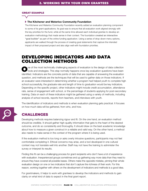#### great example

#### ▶ The Kitchener and Waterloo Community Foundation

The Kitchener and Waterloo Community Foundation recently added an evaluation planning component to some of its grant applications. Its goal was to ensure that all evaluation work aligned strongly with the key priorities for the fund, while at the same time allowed each individual grantee to develop an evaluation methodology that made sense in their context. The foundation [created an interactive](https://www.kwcf.ca/documents/investing/grants_revamp/guidelines_and_submission_requirements/communitygrantsgoalbuilder2015doc)  ["goal builder"](https://www.kwcf.ca/documents/investing/grants_revamp/guidelines_and_submission_requirements/communitygrantsgoalbuilder2015doc) as part of the online funding application. Using a series of drop-down menu options, applicants are walked through the process of creating goal statements that capture the intended impact of their proposed project and also align well with foundation priorities.

## Developing indicators and data collection methods

ne of the most technically challenging aspects of evaluation is the design of data collection tools and strategies. This step normally happens once key evaluation questions have been identified. Indicators are the concrete points of data that are capable of answering the evaluation question, and methods are the techniques that will be used to gather data on those indicators. If an evaluator were interested in determining whether a program had helped youth to complete high school successfully, the graduate rate and length of time to graduation would be key indicators. Depending on the specific project, other indicators might include credit accumulation, attendance rate, sense of engagement with school, or the percentage of students applying for post-secondary training. Data on each of these indicators might be gathered using a variety of methods, including analysis of school records, reports from teachers, and interviews with youth.

The identification of indicators and methods is when evaluation planning gets practical. It focuses on how much data will be gathered, from who, and how.

## **CHALLENGES**

Developing methods requires balancing rigour and fit. On the one hand, an evaluation method should be credible. It should gather high-quality information that gets to the heart of the desired outcome, and do so consistently and thoroughly. It should draw on the best academic knowledge about how to measure a given construct in a reliable and valid way. On the other hand, a method also needs to make sense in the context of the program where it is being used.

If the evaluation method is too long or asks overly intrusive questions, participants may not feel comfortable completing it. Ethical concerns may arise, and a tool developed in one cultural context may not translate well into another. Staff may not have the training to administer the survey or interpret its results.

Finding this fit can be a challenging process for grant recipients who don't have a lot of experience with evaluation. Inexperienced groups sometimes end up gathering way more data than they need to ensure they have covered all possible bases. Others make the opposite mistake, pinning their whole evaluation design on one or two indicators that don't capture the richness of their work. For this reason, working together with others on the development of indicators and methods is a good idea.

For grantmakers, it helps to work with grantees to develop the indicators and methods to gain clarity on what kind of data to expect in the final grant report.

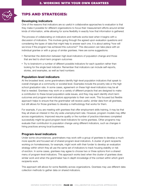

## Tips and strategies:

#### Developing indicators

One of the reasons that indicators are so useful in collaborative approaches to evaluation is that they make it possible for different organizations to focus their measurement efforts around similar kinds of information, while allowing for some flexibility in exactly how that information is gathered.

The process of collaborating on indicators and methods works best when it begins with a discussion of indicators. This involves going through the agreed upon evaluation questions and considering the types of data that might help to answer each one. It is about asking "how will we know if the program has achieved this outcome?" This discussion can take place with an individual grantee or with a group of similar grantees. Here are some suggestions:

- Remember the distinction between high-level indicators of population change and those that are tied to short-term program outcomes
- Try to brainstorm a number of different possible indicators for each question rather than looking for the single best indicator. Remember that indicators can include self-reports, stories, and examples, as well as hard numbers

#### Population-level indicators

At the broadest level, some grantmakers identify high-level population indicators that speak to overall changes at a community or societal level. Examples include the poverty rate or the high school graduation rate. In some cases, agreement on these high-level indicators may be all that is needed. Grantees may work on a variety of different projects that are designed to make a contribution to these broad population-wide issues, and they may each identify short-term outcomes and program-level indicators appropriate to their own work. This focused but flexible approach helps to ensure that the grantmaker will receive useful, similar data from all grantees, but still allows for those grantees to develop a methodology that works for them.

For example, if you are meeting with grantees that offer employment skills training, it may be that they all share an interest in the city-wide unemployment rate. However, program models may differ across organizations. Improved resume quality or the number of practice interviews completed successfully might be good program-level indicators for some grantees. Other programs may evaluate their contribution to population change using different indicators, such as changes in hiring practices among local businesses.

#### Program-level indicators

Under some circumstances, grantmakers may work with a group of grantees to develop a much more specific and focused set of shared program-level indicators. A cluster of grant recipients working on homelessness, for example, might work with their funder to develop an evaluation strategy within which they all use the same set of indicators to track housing stability or risk of eviction. In some cases, grantees may agree to choose two or three options from a shared menu of program-level indicators. This approach works best when the cluster of grantees does similar work and when the grantmaker has in-depth knowledge of the context within which grant recipients work.

This approach still allows for some flexibility across organizations. Grantees may use different data collection methods to gather data on shared indicators.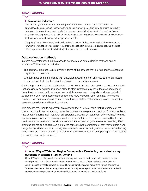#### great example

#### ▶ Developing indicators

The [Ontario government's Local Poverty Reduction Fund](https://www.ontario.ca/page/local-poverty-reduction-fund) uses a set of shared indicators approach. All grantees must link their work to one or more of a set list of fairly long-term key poverty indicators. However, they are not required to measure these indicators directly themselves. Instead, they are asked to propose an evaluation methodology that highlights the ways in which they contribute to the achievement of change in the high-level indicator.

Many local United Ways have developed a suite of preferred indicators for each of the outcome areas in which they invest. They ask grant recipients to choose from a menu of indicator options, and also offer suggestions about methods that might be used to track each indicator.

#### Data collection methods

In some circumstances, it makes sense to collaborate on data collection methods and on indicators. This is most helpful when:

- The cluster of grantees is quite similar in terms of the services they provide and the outcomes they expect to measure
- Grantees have some experience with evaluation already and can offer valuable insights about measurement strategies that might be useful to other similar agencies

Getting together with a cluster of similar grantees to review the tools and data collection methods that are already being used is a good place to start. Grantees may share the pros and cons of these tools or tips about how to use them well. In some cases, it may also make sense to look outside the cluster for measurement options that have worked in other settings. There are a number of online inventories of measurement tools (**[BetterEvaluation.org](http://www.betterevaluation.org/)** is one resource) to generate some ideas and learn from others.

This process may lead to agreement on a specific tool or suite of tools that all members of the cluster can use. However, in many cases the process is more gradual than that. Cluster members may choose to refine their measurement approach, drawing on ideas from others without formally agreeing to use exactly the same approach. Even when this is the result, a meeting like this one can increase the quality and consistency of the data reported to grantmakers substantially. Even if grantees are not able to agree on exactly the same methods or indicators, they may emerge from the gathering with an increased willingness to share evaluation findings and a better understanding of how to share those findings in a helpful way. (See the next section on reporting for more insights on how to manage this process.)

#### great example

#### United Way of Waterloo Region Communities: Developing consistent survey questions In Waterloo Region, Ontario

[United Way](http://www.uwaykw.org/) is building a collective impact strategy with funded partner agencies focused on youth development. To develop a practical tool for evaluating a sense of connection to community for youth, a series of meetings were facilitated by an external evaluator with a small group of agencies. The agencies shared their existing measurement strategies as a pilot project and tested a short list of consistent survey questions that may be added to each agency's evaluation protocol.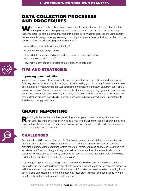## Data collection processes and procedures

When it comes to the collection of evaluation data, talking through the operational details<br>of the process can be a great way to avoid problems down the road, like low survey response rates, or data gathered inconsistently across sites. Whether grantees are using exactly the same methodology or simply agreeing to employ the same suite of indicators, much confusion can be avoided by addressing questions like these:

- Who will be responsible for data gathering?
- How often will data be gathered?
- How will data be coded and organized (e.g., how will we keep track of which site sent in which data)?
- How will the confidentiality of data be protected, once collected?

#### Tips and strategies:

#### Improving communication

In some cases, it may not make sense to develop indicators and methods in a collaborative way. This may be true, for example, if your organization is making grants in a very focused area, where best practices in measurement are well established and getting consistent data from every site is central to success. Perhaps you are in the middle of a multi-year granting cycle and measurement plans have already been set. Even so, there may be value in checking in with grantees about the data collection process periodically, in order to see what is being learned, better understand its limitations, or simply build trust.

## Grant reporting

eporting is the mechanism through which grant recipients share the story of funded work with you. Reporting systems often include a final (or annual) grant report. Reporting may also happen through face-to-face meetings, video storytelling, journaling, or site visits by grantmaker staff to grantee projects or events.



#### **CHALLENGES**

According to a 2011 survey of nonprofits, "the typical grantee spends 20 hours on monitoring, reporting and evaluation, and participates in three reporting or evaluation activities, such as providing outcome data, submitting written reports or forms, or having phone conversations with foundation staff" as part of a grant they received.**6** At the same time, the research tells us that evaluation findings can be limited by conventional reporting formats that don't allow for flexibility and don't ask questions that matter to nonprofits.**<sup>7</sup>**

A grant reporting system is a data gathering exercise. As we discussed in a previous section of this guide, it is important to design a set of data gathering tools that gather the right information to fulfil their intended purpose and as little extraneous information as possible. When reporting forms get long and complicated, it is often the case that insufficient thinking has been put into how the data from those forms will be used, and by whom.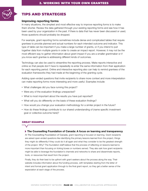

## Tips and strategies

#### Improving reporting forms

In many situations, the simplest and most effective way to improve reporting forms is to make them shorter. Review the data gathered through your existing reporting forms and see how it has been used by your organization in the past. If there is data that has never been discussed or used, those questions should probably be dropped.

For example, grant reporting forms sometimes include dense and complicated tables that require grantees to provide planned and actual numbers for each intended outcome and indicator. This type of table can be important if you make a large number of grants, or if you intend to pull together data from multiple grants in order to create an impact report. However, it may not be the most efficient way to gather information about grant impact if you are a smaller grantmaker or if you know each grantee is addressing different kinds of outcomes.

Technology can also be used to streamline the reporting process. Make reports interactive and online so that people don't have to repeatedly re-enter the same information from their application for each reporting period. Online and interactive reporting also can help to remind grantees of the evaluation frameworks they had made at the beginning of the granting cycle.

Adding open-ended questions that invite recipients to share more context and more interpretation can make reporting forms more interesting and more useful. Examples include:

- What challenges did you face running this project?
- Were any of the evaluation findings unexpected?
- What is most important about the results you have just reported?
- What will you do differently on the basis of these evaluation findings?
- How would you change your evaluation methodology for a similar project in the future?
- How do these findings contribute to our shared understanding of (name specific investment goal or collective outcome here)?

#### great example

#### ▶ The Counselling Foundation of Canada: A focus on learning and transparency

At [The Counselling Foundation of Canada](http://www.counselling.net/jnew/), grant reporting is focused on learning. Grant recipients are asked open-ended questions like identifying the primary lessons learned from the project, things they might do differently if they could do it all again and what they consider to be the greatest strength of the project. Why? The foundation staff believe that the process of reflecting on lessons learned is more important than focusing on ticking boxes or numbers served. They also ask how grant recipients might be able to leverage the foundation's channels and networks to share and disseminate reports, tools, or resources that result from the project.

Finally, they do their best to be upfront with grant seekers about the process along the way. Their website includes information about the funding process, with templates starting from the letter of intent and formal grant application through to the final grant report, so they get a better sense of the expectation at each stage of the process.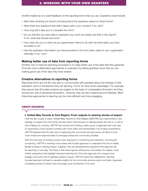Another helpful tip is to seek feedback on the reporting forms that you use. Questions could include:

- • Was there anything you found confusing about the questions asked on these forms?
- Were there any questions that didn't apply well in your context? If so, why?
- How long did it take you to complete this form?
- Do you feel like you were able to represent your work accurately and fully in this report? If not, what else should we know?
- How clear are you on what we as a grantmaker intend to do with the information you have provided to us?
- Has the evaluation information you have provided in this from been useful to your organization internally? If so, how?

#### Making better use of data from reporting forms

Another way to improve reporting processes is to make better use of the data that they generate. Promote more collaborative approaches to evaluation by letting grantees know that you are making good use of the data they have shared.

#### Creative alternatives to reporting forms

Reporting forms are not the only way to communicate with grantees about the findings of their evaluation work or the lessons they are learning. Forms do have some advantages. For example, they assure that all funded projects are judged on the basis of comparable information and they remove any risk of perceived favouritism. However, they are also impersonal and inflexible. More interactive approaches to learning can be more efficient and more engaging.

#### great example

 United Way Toronto & York Region: From outputs to sharing stories of impact Over the last couple of years, [United Way Toronto & York R](https://www.unitedwaytyr.com/)egion (UWTYR) has implemented a new strategy to support the community services sector that focuses on helping people who live in, or are at risk of falling into, poverty. UWTYR has moved from funding a static group of agencies year over year

to supporting a more dynamic portfolio with more clarity and intentionality in its funding mechanisms. UWTYR believes that this new way of supporting the community services sector will allow it to be more nimble and respond better to emerging needs and community priorities.

With this new way of working comes a new approach to monitoring and evaluation, one focused on learning. UWTYR is working more closely with funded agencies to understand the role of stable, flexible funding in creating impact. Together, they are developing the questions that agencies will be reporting on annually. The hope is that these reports will become a foundation for deeper, more holistic evaluations that highlight important learning from the work agencies do to support and engage community and to address systemic issues. UWTYR hopes the collaborative, learningfocused approach will lead to valuable insights for the community services sector and help it generate compelling stories of impact that encourage more involvement in its work.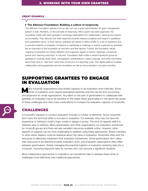#### great example

#### ▶ The Atkinson Foundation: Building a culture of reciprocity

The Atkinson Foundation aspires to be an ally, not only a grant administrator. Its grant management system is built, therefore, on the principle of reciprocity. After a grant has been approved, the foundation meets with each grantee to exchange expectations for collaboration, learning and shared accountability. They discuss how their respective boards measure progress and impact in qualitative and quantitative terms. In their reports, grantees are asked to reflect briefly on a set of questions and to provide evidence of progress. Invitations to participate in meetings or events organized by grantees are as important to the foundation as mid-term and final reports. Further, the foundation values ongoing conversation for critical reflection and organizes regular in-person meetings, occasional events and "learning road trips" to this end. Foundation staff curate a closed Facebook group for grantees to routinely share news, photographs, presentations, media coverage, and other information about their work in "real time" rather than at the end of a reporting cycle. This digital platform enables collaboration among grantees and the foundation as well as documentation of project activities.

## Supporting grantees to engage in evaluation

any nonprofit organizations have limited capacity to do evaluation work internally. Some kinds of evaluation work require specialized expertise and this can be time consuming and expensive for small organizations. Any effort on the part of grantmakers to collaborate with grantees on evaluation has to be sensitive to this reality. Most grantmakers in the sector are aware of these challenges and many have made efforts to increase the evaluation capacity of nonprofits.



#### Challenges

A nonprofit's capacity to conduct evaluation includes a number of elements. Some nonprofits don't have the technical skills to succeed in evaluation. For example, they may not have the experience or training to build a logic model or design a survey. This kind of capacity deficit is relatively easy to address. Many grantmakers and other organizations run evaluation workshops for nonprofit groups and there are also excellent resources available online. However, other aspects of capacity can be more challenging to address using these approaches. Board members or other senior leaders could be skeptical about the value of evaluation. Nonprofits often lack the resources to effectively implement their evaluation frameworks. Some grantmakers don't allow their resources to be directed towards evaluation work, and evaluation expectations often differ between grantmakers. Simply managing the practical logistics of evaluation (entering data into a computer, improving response rates for surveys, etc.) can become a significant obstacle.

More collaborative approaches to evaluation can sometimes help to address these kinds of challenges more effectively than traditional approaches.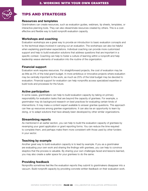

## Tips and strategies

#### Resources and templates

Grantmakers can create resources, such as evaluation guides, webinars, tip sheets, templates, or interactive planning tools. They can also disseminate resources created by others. This is a costeffective and flexible way to build nonprofit evaluation capacity.

#### Workshops and coaching

Evaluation workshops are a great way to provide an introduction to basic evaluation concepts and to the technical steps involved in carrying out an evaluation. The workshops can also be helpful when explaining grantmaker expectations. Individual coaching can provide more customized support and help to build evaluation solutions that address questions that are important in a specific context. Coaching can help to foster a culture of learning within a nonprofit and help leadership weave elements of evaluation into the routine of the organization.

#### Financial support

Evaluation work requires resources. For straightforward projects, the cost of evaluation may be as little as 5% of the total grant budget. In more ambitious or innovative projects where evaluation may be centrally important to the work, as much as 25% of the total budget may be devoted to evaluation. Financial support for evaluation can help nonprofits access specialized expertise or build tools and processes for the future.

#### Active participation

In some cases, grantmakers can help to build evaluation capacity by taking on primary responsibility for evaluation tasks that are beyond the capacity of grantees. For example, a grantmaker may do background research on best practices for evaluating certain kinds of interventions. It may make a content expert available to answer grantee questions. This approach can free up resources among grantee organizations. It can also be an opportunity to learn by doing, or to adapt solutions that have already been developed by other similar organizations.

#### Streamlining reports

As mentioned in an earlier section, you can help to build the evaluation capacity of grantees by revamping your grant application or grant reporting forms. You can reduce the time required to complete them, and perhaps make them more consistent with those used by other funders in your sector.

#### Teaching by example

Another great way to build evaluation capacity is to lead by example. If you as a grantmaker are evaluating your own work and sharing the findings with grantees, you can help to convince skeptics that the process is valuable. By sharing your own challenges faced and lessons learned, you may also create a safer space for your grantees to do the same.

#### Providing feedback

Nonprofits sometimes feel like the evaluation reports they submit to grantmakers disappear into a vacuum. Build nonprofit capacity by providing concrete written feedback on their evaluation work.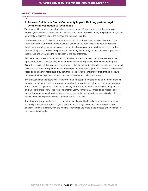#### great examples

#### Johnson & Johnson Global Community Impact: Building partner buy-in by tailoring evaluation to local needs

"Our grantmaking strategy has always been partner centric. We choose them for their extensive knowledge of evidence-based solutions, creativity, and local expertise. During the program design and prioritization, partner voice is the number one thing we listen to."

[Johnson & Johnson Global Community Impact](https://www.jnj.com/our-giving) funds partners in various countries around the world in a number of different areas prioritizing people on the front lines at the heart of delivering health care, including nurses, midwives, doctors, family caregivers, and mothers who care for their children. They are currently in the process of revamping their strategy to become more supportive of local needs and leveraging the full strength of the J&J enterprise.

For them, the process is more focused on helping to address the needs in a particular region, as opposed to forcing consistent indicators and measures that all partners will be measured against. Given the diversity of their partners and programs, they have found it difficult to be able to make broad claims across their funding streams about the impact of their work beyond output numbers like overall reach and number of health care providers trained. However, the majority of programs do measure outcomes that are important to them, such as knowledge and behavior change.

The evaluation staff members work with partners to co-design their logic model or theory of change if one does not already exist. They also work together to help prioritize output and outcome indicators. The foundation supports its partners by providing technical assistance as well as supporting clusters of grantees to share knowledge with one another. Lastly, Johnson & Johnson takes responsibility for synthesizing and summarizing the data across programs. Going forward, the foundation is looking to build in more learning and reflection elements into their process.

The strategy revamp has taken time — about a year already. The foundation is designing systems to identify achievements at the program, portfolio and strategy levels, and to translate this into a cohesive learning. Internally, they are working to formalize and improve the process of how managers pull information together.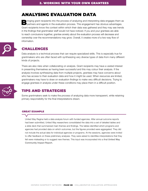## Analysing evaluation data

Bringing grant recipients into the process of analyzing and interpreting data engages them as<br>Bring and an analyzing the evaluation process. This engagement has obvious advantages partners and agents in the evaluation process. This engagement has obvious advantages. Grant recipients know the context within which their data was gathered and they may see trends in the findings that grantmaker staff would not have noticed. If you and your grantees are able to reach conclusions together, grantee anxiety about the evaluation process will decrease and ownership over the recommendations may grow. Overall, it creates more of a two-way flow of information.



## Challenges

Data analysis is a technical process that can require specialized skills. This is especially true for grantmakers who are often faced with synthesizing very diverse types of data from many different kinds of projects.

There are also risks when collaborating on analysis. Grant recipients may have a vested interest in presenting themselves as having been successful and this may colour their analysis. If the analysis involves synthesizing data from multiple projects, grantees may have concerns about who has access to their evaluation data and how it might be used. When resources are limited, grantmakers may have to draw on evaluation findings to make very difficult decisions. Trying to engage grantees in analysis under these conditions may place them in a difficult position.



## Tips and strategies

Some grantmakers seek to make the process of analyzing data more transparent, while retaining primary responsibility for the final interpretations drawn.

#### great example

United Way Regina held a data analysis forum with funded agencies. After annual outcome reports had been submitted, United Way researchers consolidated the data into a set of detailed tables and a slide deck that summarized main themes and findings. The tables identified which programs and agencies had provided data on which outcomes, but the figures provided were aggregated. They did not include the actual data for individual agencies or programs. At the sessions, agencies were invited to offer feedback on these preliminary analyses. They were asked to identifies interpretations that they felt were misleading or to suggest new themes. This input was incorporated into a final United Way [Community Impact Report.](https://www.unitedwayregina.ca/servlet/eAndar.WebExtDocument/3339353434/333039/UnitedWayReginaCommunityImpactReport.pdf)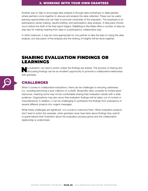#### 2. working with your own grantees

Another way to help to encourage data analysis is through data workshops or [data parties](http://communitysolutions.ca/web/wp-content/uploads/2016/06/DataParty_prf2.pdf) where partners come together to discuss and analyze the data collected. These can be useful learning opportunities and can help to promote ownership of the evaluation. The emphasis is on participatory sense-making, results-briefing, and participatory data analysis. A data party should occur before the draft of the final report begins. [Dabbling in the Data](http://www.publicprofit.net/Dabbling-In-The-Data) offers a number of step-bystep tips for making meaning from data in a participatory, collaborative way.

In other instances, it may be more appropriate for one partner to take the lead on doing the data analysis, but discussion of the analysis and the sharing of insights will be done together.

## Sharing evaluation findings or learnings

No evaluation can lead to action unless the findings are shared. The process of sharing and discussing findings can be an excellent opportunity to promote a collaborative relationship with grantees.

## **CHALLENGES**

When it comes to collaborative evaluations, there can be challenges to ensuring usefulness (i.e., avoiding becoming a dust collector on a shelf). Nonprofits often compete for limited grant resources, meaning some may not be comfortable sharing their evaluation results with a wide audience. Organizations may also worry that evaluation findings will be taken out of context or misunderstood. In addition, it can be challenging to synthesize the findings from evaluations of several different projects into cogent messages.

While these challenges are significant, it is crucial to overcome them. When evaluation projects don't lead to action (for example, when grantees never hear back about findings they submit to grantmakers) their frustration about the evaluation process grows and the collaborative relationship is undermined.

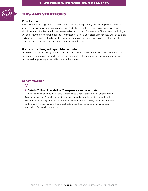

## Tips and strategies

#### Plan for use

Talk about how findings will be shared at the planning stage of any evaluation project. Discuss why the evaluation questions are important, and who will act on them. Be specific and concrete about the kind of action you hope the evaluation will inform. For example, "the evaluation findings will be presented to the board for their information" is not a very clear plan for use. But "evaluation findings will be used by the board to review progress on the four priorities in our strategic plan, as they prepare to renew that plan one year from now" is better.

#### Use stories alongside quantitative data

Once you have your findings, share them with all relevant stakeholders and seek feedback. Let partners know you see the limitations of the data and that you are not jumping to conclusions, but instead hoping to gather better data in the future.

#### great example

#### Ontario Trillium Foundation: Transparency and open data

Through its commitment to the Ontario Government's [Open Data Directive](https://www.ontario.ca/page/open-government), Ontario Trillium Foundation makes information about its grantmaking and evaluation work accessible online. For example, it recently published a [synthesis](http://www.otf.ca/sites/default/files/otf_investment_analysisq42015_open_data_v01_c2.pdf) of lessons learned through its 2016 application and granting process, along with [spreadsheets](https://otf.ca/open) listing the intended outcomes and target populations for each individual grant.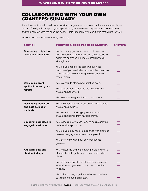## Collaborating with your own grantees: Summary

If you have an interest in collaborating with your grantees on evaluation, there are many places to start. The right first step for you depends on your evaluation purpose, your own readiness, and your context. Use the checklist below (Table 6) to identify the next step that's right for you!

Table 6. Collaborative Evaluation: What's your next step?

| <b>SECTION</b>                                                 | <b>MIGHT BE A GOOD PLACE TO START IF:</b>                                                                                                                            | <b>ØSTEPS</b> |
|----------------------------------------------------------------|----------------------------------------------------------------------------------------------------------------------------------------------------------------------|---------------|
| Developing a high-level<br>evaluation framework                | You've already got some pockets of experience<br>with collaborative evaluation, and you're ready to<br>adopt the approach in a more comprehensive,<br>strategic way. |               |
|                                                                | You feel you need to do some work on the<br>purpose of your evaluation wok and the questions<br>it will address before turning to discussions of<br>measurement.     |               |
| <b>Developing grant</b><br>applications and grant<br>reports   | You're about to start a new granting cycle.                                                                                                                          |               |
|                                                                | You or your grant recipients are frustrated with<br>evaluation paperwork.                                                                                            |               |
|                                                                | You're not learning much from grant reports.                                                                                                                         |               |
| <b>Developing indicators</b><br>and data collection<br>methods | You and your grantees share some clear, focused<br>evaluation questions.                                                                                             |               |
|                                                                | You're finding it challenging to synthesize<br>evaluation findings from multiple grants.                                                                             |               |
| <b>Supporting grantees to</b><br>engage in evaluation          | You're looking for an easy way to begin exploring<br>collaborative approaches.                                                                                       |               |
|                                                                | You feel you may need to build trust with grantees<br>before changing your evaluation approach.                                                                      |               |
|                                                                | You often work with small or inexperienced<br>grantees.                                                                                                              |               |
| Analyzing data and<br>sharing findings                         | You're near the end of a granting cycle and can't<br>change the data gathering processes already in<br>place.                                                        |               |
|                                                                | You've already spent a lot of time and energy on<br>evaluation and you're not sure how to use the<br>findings.                                                       |               |
|                                                                | You'd like to bring together stories and numbers<br>to tell a more compelling story.                                                                                 |               |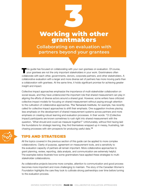## Working with other grantmakers **Collaborating on evaluation with partners beyond your grantees** 3

This guide has focused on collaborating with your own grantees on evaluation. Of course,<br>your grantees are not the only important stakeholders in your work. Grantmakers often collaborate with each other, governments, donors, corporate partners, and other stakeholders. A collaborative evaluation with a larger and more diverse set of partners has more moving parts than a collaboration with grantees. At the same time, it holds significant promise for achieving greater insight and impact.

Collective impact approaches emphasize the importance of multi-stakeholder collaboration on social issues, and they have underscored the important role that shared measurement can play in aligning the efforts of diverse actors around a shared goal. However, some writers have criticized collective impact models for focusing on shared measurement without paying enough attention to the cultivation of collaborative approaches. The [Tamarack Institute](https://www.tamarackcommunity.ca/collectiveimpact), for example, has recently called for collective impact approaches to shift their emphasis. One suggestion involves placing less emphasis on the development of shared measurement systems across partners and more emphasis on creating robust learning and evaluation processes. In their words: "CI (Collective Impact) participants are known sometimes to rush right into shared measurement with the question, 'What should and could we measure together?' Unfortunately, without first having laid the foundations for strategic learning, they find themselves wrapped up in messy, frustrating, tailchasing processes with slim prospects for producing useful data."**<sup>8</sup>**



## Tips and strategies

All the topics covered in the previous section of this guide can be applied to more complex collaborations. Clarity of purpose, agreement on measurement tools, and a sensitivity to the evaluation capacity of partners all remain important. More collaborative approaches to grant planning, review, reporting, data analysis, and communication are extremely helpful. The examples below illustrate how some grantmakers have applied these strategies to multistakeholder collaborations.

As collaborative projects become more complex, attention to communication and good process becomes more important and more challenging to maintain. The story of the Canadian Women's Foundation highlights the care they took to cultivate strong partnerships over time before turning to the evaluation process.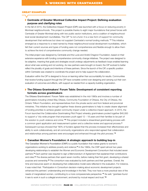#### great examples

#### Centraide of Greater Montreal Collective Impact Project: Defining evaluation purpose and clarifying roles

In the fall of 2015, the [Collective Impact Project \(CIP\)](http://www.centraide-mtl.org/en/agencies/collective-impact-project/) was launched with a focus on reducing poverty in Montreal neighbourhoods. This project is possible thanks to eight major foundations that joined forces with Centraide of Greater Montreal along with two public sector institutions, and a coalition of neighbourhoodlevel social development roundtables. The CIP "is not a fund. It is a new form of support for community development that reinforces but does not supplant Centraide's normal funding methods." **9** This initiative emerged as a response to a need named by these neighbourhood social development roundtables, which felt their current sources and types of funding were not comprehensive and flexible enough to allow them to achieve the kind of comprehensive community change needed.

The initial project was designed by Centraide and the Lucie and André Chagnon Foundation, based on their extensive experience with funding comprehensive community change initiatives. The project was designed to be adaptive, meaning that goals and strategies would undergo adjustments as feedback loops enabled learning about what was working and not working. As new partners were brought on board, the CIP evolved to better reflect the plurality of goals and intentions of these partners. Since the launch of the CIP, a specific position within Centraide was created to coordinate the project and to help support the collaboration.

Evaluation within the CIP is designed to focus on learning rather than accountability for results. Communities that receive funding support through the CIP have complete control over designing and carrying out their own evaluation of outcomes and effects, with support as needed from a capacity-building organization.

#### The Ottawa Grantmakers' Forum Table: Development of consistent reporting formats across grantmakers

The [Ottawa Grantmakers' Forum Table](https://www.ocf-fco.ca/grantmakers-forum/) was established in the mid-1990s and involves a number of grantmakers including United Way Ottawa, Community Foundation of Ottawa, the City of Ottawa, the Ontario Trillium Foundation, and representatives from the private sector and from federal and provincial ministries. This initiative has brought together these diverse grantmakers to help to create clearer alignment of funding priorities to achieve greater community impact under a collective impact approach. In 2015, the Forum launched the Collaborative Grantmaking Pilot Project whereby grantmakers pooled together \$40,000 to support a "city-wide program that empowers youth aged 12 – 18 years and their families to be part of the solution to youth violence and crime."**10** This project included a streamlined grantmaking process with a common grant application and measurement system and a collective review and approval process.**<sup>11</sup>** Subsequent surveys showed that "80% of funders agreed that the process increased their effectiveness and ability to work collaboratively, and all community organizations who responded agreed that collaboration and relationships among partners were encouraged and enhanced through the pilot process."**<sup>12</sup>**

#### Canadian Women's Foundation: A strategic approach to building buy-in

[The Canadian Women's Foundation \(CWF\)](https://www.canadianwomen.org/) is a public foundation that makes grants to women's organizations working to address poverty and violence.**13** In the 1990s, the CWF spent almost two years developing relationships to establish the Women and Economic Development Consortium that included seven partners.**14** Each partner was required to sign a Memorandum of Agreement that explained their contributions and roles.**15** The diverse partners then spent seven months, before making their first grant, developing a shared purpose and ownership.**16** The consortium was evaluated by both partners and their grantees. Overall, the time and resources spent on developing that collaborative model were reflected in the evaluation. For instance, it was noted that: "Participation in Consortium decision-making about economic development projects enhanced the partners' understanding and knowledge in the field. They now have a more practical view of the needs of marginalized women, contributing to a more compassionate perspective."**17** As well, "grantees found it rare to work in such a collegial environment, anchored by mutual respect and trust."**<sup>18</sup>**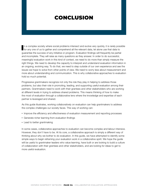## conclusion

In a complex society where social problems intersect and evolve very quickly, it is rarely pose for any one of us to gather and comprehend all the relevant data, let alone use that data to n a complex society where social problems intersect and evolve very quickly, it is rarely possible guarantee the success of any initiative or program. Evaluation findings will frequently be partial and incomplete. They will raise as many questions as they answer. In order to do successful, meaningful evaluation work in this kind of context, we need to do more than simply measure the right things. We need to develop the capacity to interpret and understand evaluation information in an ongoing, evolving way. To do that, we need to step outside of our own experience and see the issues we hope to solve from other points of view. We need to worry less about measurement and more about understanding and communication. This is why collaborative approaches to evaluation hold so much potential.

Progressive grantmakers recognize not only the role they play in helping to address those problems, but also their role in promoting, leading, and supporting useful evaluation among their partners. Grantmakers need to work with their grantees and other stakeholders who are working at different levels in trying to address shared problems. This means thinking of how to make the most of evaluation through a collaborative lens where the knowledge and expertise of each partner is leveraged and shared.

As this guide illustrates, working collaboratively on evaluation can help grantmakers to address the complex challenges our society faces. This way of working can:

- Improve the efficiency and effectiveness of evaluation measurement and reporting processes
- • Generate richer learning from evaluation findings
- Lead to better grantmaking

In some cases, collaborative approaches to evaluation can become complex and labour intensive. However, they don't have to be. At its core, a collaborative approach is simply a different way of thinking about why we bother to do evaluation. In this guide, we have attempted to identify some simple ways to begin reframing your evaluation work in a collaborative spirit. We hope the guide will be useful to grantmaker leaders who value learning, have built or are looking to build a culture of collaboration with their grantees and other stakeholders, and are looking for ideas to get to more useful evaluation.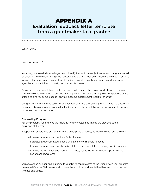## appendix A

## **Evaluation feedback letter template from a grantmaker to a grantee**

July X , 20XX

Dear (agency name):

In January, we asked all funded agencies to identify their outcome objectives for each program funded by selecting from a checklist organized according to the nine population results statements. Thank you for submitting your outcomes checklist. It has been helpful in enabling us to assess where funding to agencies will impact the community over the next two years.

As you know, our expectation is that your agency will measure the degree to which your programs achieve the outcomes selected and report findings at the end of this funding year. The purpose of this letter is to give you some feedback on your outcome measurement report for this year.

Our grant currently provides partial funding for your agency's counselling program. Below is a list of the outcomes objectives you checked off at the beginning of the year, followed by our comments on your outcomes measurement report.

#### Counselling Program

For this program, you selected the following from the outcomes list that we provided at the beginning of the year:

- Supporting people who are vulnerable and susceptible to abuse, especially women and children:
	- Increased awareness about the effects of abuse
	- Increased awareness about people who are more vulnerable to abuse
	- Increased awareness about abuse (what it is, how to report it etc.) among frontline workers
	- Increased identification and reporting of abuse, especially for vulnerable populations like seniors and immigrants

You also added an additional outcome to your list to capture some of the unique ways your program makes a difference: To increase and improve the emotional and mental health of survivors of sexual violence and abuse.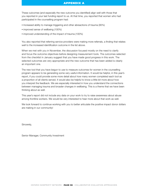#### APPENDIX A

These outcomes (and especially the new outcome you identified) align well with those that you reported in your last funding report to us. At that time, you reported that women who had participated in the counselling program had:

- Increased ability to manage triggering and other abreactions of trauma (95%)
- improved sense of wellbeing (100%)
- improved understanding of the impact of trauma (100%)

You also reported that referring service providers were making more referrals, a finding that relates well to the increased identification outcome in the list above.

When we met with you in November, the discussion focused mostly on the need to clarify and focus the outcome objectives before designing measurement tools. The outcomes selected from the checklist in January suggest that you have made good progress in this work. The selected outcomes are very appropriate and the new outcome that has been added is clearly an important one.

The new tool that you have begun to use to measure outcomes for women in the counselling program appears to be generating some very useful information. It would be helpful, in this year's report, if you could provide some more detail about how many women completed each tool as a proportion of all clients served. It would also be helpful to know a little bit more about how you interpret the feedback. We are especially interested in how you understand the connections between managing trauma and broader changes in wellbeing. This is a theme that we have been thinking about as well.

This year's report did not include any data on your work to try to raise awareness about abuse among frontline workers. We would be very interested to hear more about that work as well.

We look forward to continue working with you to better articulate the positive impact donor dollars are making in our community!

Sincerely,

Senior Manager, Community Investment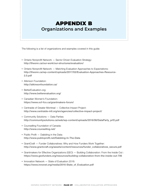## appendix B **Organizations and Examples**

The following is a list of organizations and examples covered in this guide:

- Ontario Nonprofit Network Sector Driven Evaluation Strategy: <http://theonn.ca/our-work/our-structures/evaluation/>
- Ontario Nonprofit Network Matching Evaluation Approaches to Expectations: [http://theonn.ca/wp-content/uploads/2017/02/Evaluation-Approaches-Resource-](http://theonn.ca/wp-content/uploads/2017/02/Evaluation-Approaches-Resource-2.0.pdf)[2.0.pdf](http://theonn.ca/wp-content/uploads/2017/02/Evaluation-Approaches-Resource-2.0.pdf)
- Atkinson Foundation: <http://atkinsonfoundation.ca/>
- BetterEvaluation.org: <http://www.betterevaluation.org/>
- Canadian Women's Foundation: <https://www.ocf-fco.ca/grantmakers-forum/>
- Centraide of Greater Montreal Collective Impact Project: <http://www.centraide-mtl.org/en/agencies/collective-impact-project/>
- Community Solutions Data Parties: [http://communitysolutions.ca/web/wp-content/uploads/2016/06/DataParty\\_prf2.pdf](http://communitysolutions.ca/web/wp-content/uploads/2016/06/DataParty_prf2.pdf)
- Counselling Foundation of Canada: <http://www.counselling.net/>
- Public Profit Dabbling in the Data: <http://www.publicprofit.net/Dabbling-In-The-Data>
- GrantCraft Funder Collaboratives: Why and How Funders Work Together: [http://www.grantcraft.org/assets/content/resources/funder\\_collaboratives\\_secure.pdf](http://www.grantcraft.org/assets/content/resources/funder_collaboratives_secure.pdf)
- • Grantmakers for Effective Organizations (GEO) Building Collaboration: From the Inside Out : <https://www.geofunders.org/resources/building-collaboration-from-the-inside-out-706>
- Innovation Network State of Evaluation 2016: [https://www.innonet.org/media/2016-State\\_of\\_Evaluation.pdf](https://www.innonet.org/media/2016-State_of_Evaluation.pdf)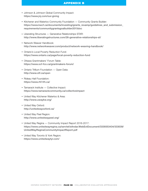#### APPENDIX B

- • Johnson & Johnson Global Community Impact: <https://www.jnj.com/our-giving>
- Kitchener and Waterloo Community Foundation Community Grants Builder: [https://www.kwcf.ca/documents/investing/grants\\_revamp/guidelines\\_and\\_submission\\_](https://www.kwcf.ca/documents/investing/grants_revamp/guidelines_and_submission_requirements/communitygrantsgoalbuilder2015doc) [requirements/communitygrantsgoalbuilder2015doc](https://www.kwcf.ca/documents/investing/grants_revamp/guidelines_and_submission_requirements/communitygrantsgoalbuilder2015doc)
- Liberating Structures Generative Relationships STAR: <http://www.liberatingstructures.com/26-generative-relationships-st/>
- Network Weaver Handbook: <http://www.networkweaver.com/product/network-weaving-handbook/>
- Ontario's Local Poverty Reduction Fund: <https://www.ontario.ca/page/local-poverty-reduction-fund>
- Ottawa Grantmakers' Forum Table: <https://www.ocf-fco.ca/grantmakers-forum/>
- Ontario Trillium Foundation Open Data: <http://www.otf.ca/open>
- Rideau Hall Foundation: <https://www.rhf-frh.ca/>
- Tamarack Institute Collective Impact: <https://www.tamarackcommunity.ca/collectiveimpact>
- United Way Kitchener Waterloo & Area: <http://www.uwaykw.org/>
- United Way Oxford: <http://unitedwayoxford.ca/>
- United Way Peel Region: <http://www.unitedwaypeel.org/>
- United Way Regina Community Impact Report 2016-2017: [https://www.unitedwayregina.ca/servlet/eAndar.WebExtDocument/3339353434/333039/](https://www.unitedwayregina.ca/servlet/eAndar.WebExtDocument/3339353434/333039/UnitedWayReginaCommunityImpactReport.pdf) [UnitedWayReginaCommunityImpactReport.pdf](https://www.unitedwayregina.ca/servlet/eAndar.WebExtDocument/3339353434/333039/UnitedWayReginaCommunityImpactReport.pdf)
- United Way Toronto & York Region: <https://www.unitedwaytyr.com/>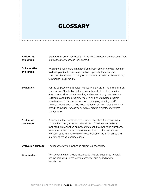## **GLOSSARY**

| <b>Bottom-up</b><br>evaluation     | Grantmakers allow individual grant recipients to design an evaluation that<br>makes the most sense in their context.                                                                                                                                                                                                                                                                                                                                                                                                                   |
|------------------------------------|----------------------------------------------------------------------------------------------------------------------------------------------------------------------------------------------------------------------------------------------------------------------------------------------------------------------------------------------------------------------------------------------------------------------------------------------------------------------------------------------------------------------------------------|
| <b>Collaborative</b><br>evaluation | When grantmakers and grant recipients invest time in working together<br>to develop or implement an evaluation approach that addresses<br>questions that matter to both groups, the evaulation is much more likely<br>to produce useful results.                                                                                                                                                                                                                                                                                       |
| <b>Evaluation</b>                  | For the purposes of this guide, we use Michael Quinn Patton's definition<br>of evaluation: "Evaluation is the systematic collection of information<br>about the activities, characteristics, and results of programs to make<br>judgments about the program, improve or further develop program<br>effectiveness, inform decisions about future programming, and/or<br>increase understanding." We follow Patton in defining "programs" very<br>broadly to include, for example, events, artistic projects, or systems<br>change work. |
| <b>Evaluation</b><br>framework     | A document that provides an overview of the plans for an evaluation<br>project. It normally includes a description of the intervention being<br>evaluated, an evaluation purpose statement, key evaluation questions,<br>associated indicators, and measurement tools. It often includes a<br>workplan specifying who will carry out evaluation tasks, timelines and<br>a review of ethical considerations.                                                                                                                            |
| <b>Evaluation purpose</b>          | The reasons why an evaluation project is undertaken.                                                                                                                                                                                                                                                                                                                                                                                                                                                                                   |
| Grantmaker                         | Non-governmental funders that provide financial support to nonprofit<br>groups, including United Ways, corporate, public, and private<br>foundations.                                                                                                                                                                                                                                                                                                                                                                                  |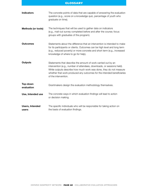#### **GLOSSARY**

| <b>Indicators</b>               | The concrete points of data that are capable of answering the evaluation<br>question (e.g., score on a knowledge quiz, percentage of youth who<br>graduate on time).                                                                                                                                            |
|---------------------------------|-----------------------------------------------------------------------------------------------------------------------------------------------------------------------------------------------------------------------------------------------------------------------------------------------------------------|
| <b>Methods (or tools)</b>       | The techniques that will be used to gather data on indicators<br>(e.g., mail-out survey completed before and after the course; focus<br>groups with graduates of the program).                                                                                                                                  |
| <b>Outcomes</b>                 | Statements about the difference that an intervention is intended to make<br>for its participants or clients. Outcomes can be high level and long term<br>(e.g., reduced poverty) or more concrete and short term (e.g., increased<br>knowledge of where to go for help).                                        |
| <b>Outputs</b>                  | Statements that describe the amount of work carried out by an<br>intervention (e.g., number of attendees, downloads, or sessions held).<br>While outputs describe how much work was done, they do not measure<br>whether that work produced any outcomes for the intended beneficiaries<br>of the intervention. |
| Top-down<br>evaluation          | Grantmakers design the evaluation methodology themselves.                                                                                                                                                                                                                                                       |
| Use, Intended use               | The concrete ways in which evaluation findings will lead to action<br>or decision making.                                                                                                                                                                                                                       |
| <b>Users, Intended</b><br>users | The specific individuals who will be responsible for taking action on<br>the basis of evaluation findings.                                                                                                                                                                                                      |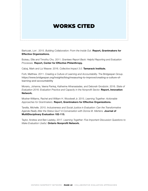## Works cited

Bartczak, Lori . 2015. *Building Collaboration: From the Inside Out*. Report, Grantmakers for Effective Organizations.

Buteau, Ellie and Timothy Chu. 2011. *Grantees Report Back: Helpful Reporting and Evaluation Processes.* Report, Center for Effective Philanthropy.

Cabaj, Mark and Liz Weaver. 2016. *Collective Impact 3.0.* Tamarack Institute.

Forti, Matthew. 2011. *Creating a Culture of Learning and Accountability.* The Bridgespan Group. [https://www.bridgespan.org/insights/blog/measuring-to-improve/creating-a-culture-of](https://www.bridgespan.org/insights/blog/measuring-to-improve/creating-a-culture-of-learning-and-accountability)[learning-and-accountability](https://www.bridgespan.org/insights/blog/measuring-to-improve/creating-a-culture-of-learning-and-accountability)

Morariu, Johanna, Veena Pankaj, Katherine Athanasiades, and Deborah Grodzicki. 2016. *State of Evaluation 2016: Evaluation Practice and Capacity in the Nonprofit Sector.* Report, Innovation Network.

Mosher-Williams, Rachel and William H. Woodwell Jr. 2015. *Learning Together: Actionable Approaches for Grantmakers.* Report, Grantmakers for Effective Organizations.

Tarsilla, Michelle. 2010. *Inclusiveness and Social Justice in Evaluation: Can the Transformative Agenda Really Alter the Status Quo? A Conversation with Donna M. Mertens.* Journal of MultiDisciplinary Evaluation 102-113.

Taylor, Andrew and Ben Liadsky. 2017. *Learning Together: Five Important Discussion Questions to Make Evaluation Useful.* Ontario Nonprofit Network.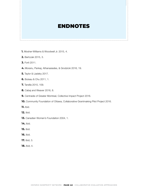## **ENDNOTES**

- **1.** Mosher-Williams & Woodwell Jr. 2015, 4.
- **2.** Bartczak 2015, 3.
- **3.** Forti 2011.
- **4.** Morariu, Pankaj, Athanasiades, & Grodzicki 2016, 19.
- **5.** Taylor & Liadsky 2017.
- **6.** Buteau & Chu 2011, 1.
- **7.** Tarsilla 2010, 109.
- **8.** Cabaj and Weaver 2016, 8.
- **9.** Centraide of Greater Montreal, Collective Impact Project 2016.
- **10.** Community Foundation of Ottawa, Collaborative Grantmaking Pilot Project 2016.
- **11.** Ibid.
- **12.** Ibid.
- **13.** Canadian Women's Foundation 2004, 1.
- **14.** Ibid.
- **15.** Ibid.
- **16.** Ibid.
- **17.** Ibid, 3.
- **18.** Ibid, 4.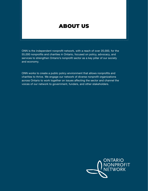## about us

ONN is the independent nonprofit network, with a reach of over 20,000, for the 55,000 nonprofits and charities in Ontario, focused on policy, advocacy, and services to strengthen Ontario's nonprofit sector as a key pillar of our society and economy.

ONN works to create a public policy environment that allows nonprofits and charities to thrive. We engage our network of diverse nonprofit organizations across Ontario to work together on issues affecting the sector and channel the voices of our network to government, funders, and other stakeholders.